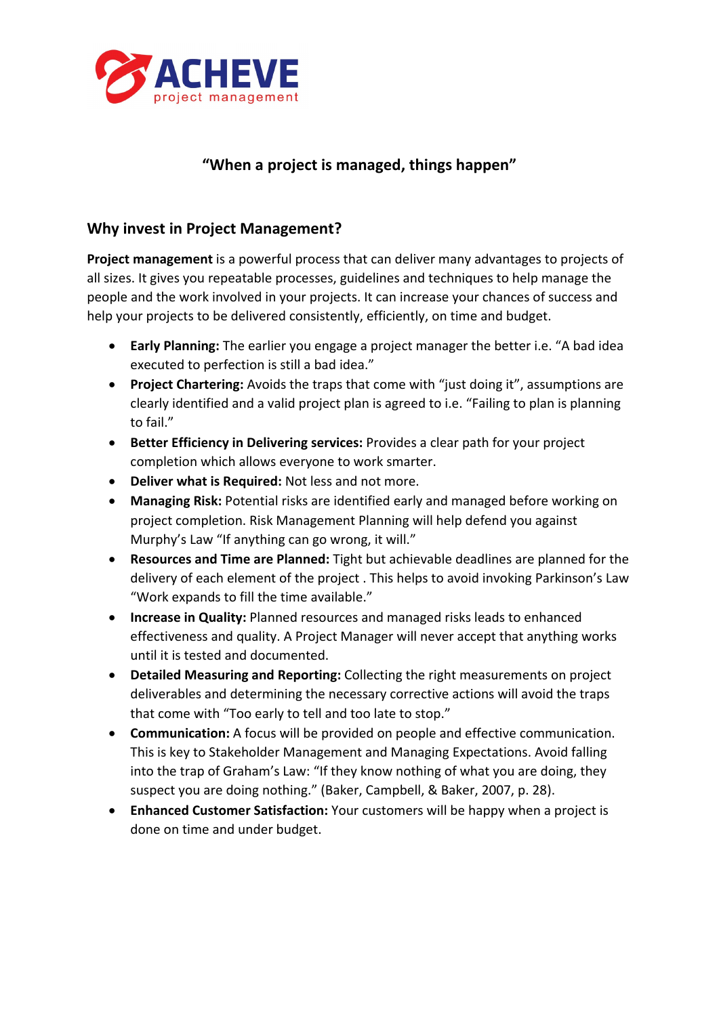

## **"When a project is managed, things happen"**

## **Why invest in Project Management?**

**Project management** is a powerful process that can deliver many advantages to projects of all sizes. It gives you repeatable processes, guidelines and techniques to help manage the people and the work involved in your projects. It can increase your chances of success and help your projects to be delivered consistently, efficiently, on time and budget.

- **Early Planning:** The earlier you engage a project manager the better i.e. "A bad idea executed to perfection is still a bad idea."
- **Project Chartering:** Avoids the traps that come with "just doing it", assumptions are clearly identified and a valid project plan is agreed to i.e. "Failing to plan is planning to fail."
- **Better Efficiency in Delivering services:** Provides a clear path for your project completion which allows everyone to work smarter.
- **Deliver what is Required:** Not less and not more.
- **Managing Risk:** Potential risks are identified early and managed before working on project completion. Risk Management Planning will help defend you against Murphy's Law "If anything can go wrong, it will."
- **Resources and Time are Planned:** Tight but achievable deadlines are planned for the delivery of each element of the project . This helps to avoid invoking Parkinson's Law "Work expands to fill the time available."
- **Increase in Quality:** Planned resources and managed risks leads to enhanced effectiveness and quality. A Project Manager will never accept that anything works until it is tested and documented.
- **Detailed Measuring and Reporting:** Collecting the right measurements on project deliverables and determining the necessary corrective actions will avoid the traps that come with "Too early to tell and too late to stop."
- **Communication:** A focus will be provided on people and effective communication. This is key to Stakeholder Management and Managing Expectations. Avoid falling into the trap of Graham's Law: "If they know nothing of what you are doing, they suspect you are doing nothing." (Baker, Campbell, & Baker, 2007, p. 28).
- **Enhanced Customer Satisfaction:** Your customers will be happy when a project is done on time and under budget.